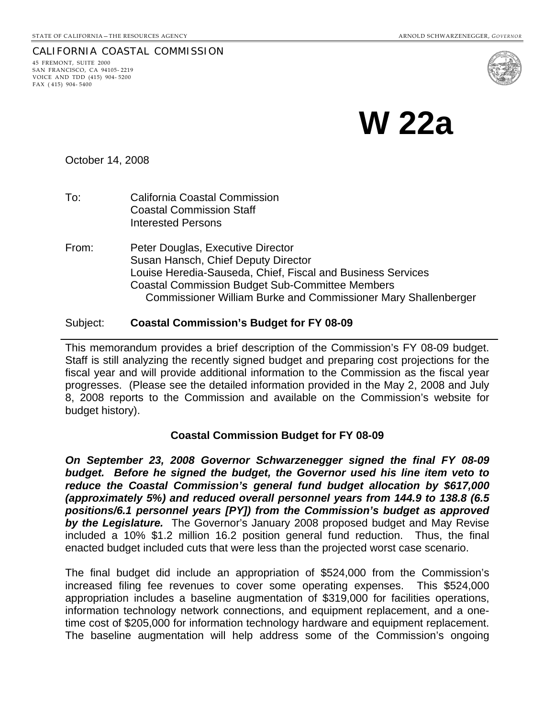#### CALIFORNIA COASTAL COMMISSION 45 FREMONT, SUITE 2000 SAN FRANCISCO, CA 94105- 2219

VOICE AND TDD (415) 904- 5200 FAX ( 415) 904- 5400

**W 22a** 

October 14, 2008

- To: California Coastal Commission Coastal Commission Staff Interested Persons
- From: Peter Douglas, Executive Director Susan Hansch, Chief Deputy Director Louise Heredia-Sauseda, Chief, Fiscal and Business Services Coastal Commission Budget Sub-Committee Members Commissioner William Burke and Commissioner Mary Shallenberger

### Subject: **Coastal Commission's Budget for FY 08-09**

This memorandum provides a brief description of the Commission's FY 08-09 budget. Staff is still analyzing the recently signed budget and preparing cost projections for the fiscal year and will provide additional information to the Commission as the fiscal year progresses. (Please see the detailed information provided in the May 2, 2008 and July 8, 2008 reports to the Commission and available on the Commission's website for budget history).

# **Coastal Commission Budget for FY 08-09**

*On September 23, 2008 Governor Schwarzenegger signed the final FY 08-09 budget. Before he signed the budget, the Governor used his line item veto to reduce the Coastal Commission's general fund budget allocation by \$617,000 (approximately 5%) and reduced overall personnel years from 144.9 to 138.8 (6.5 positions/6.1 personnel years [PY]) from the Commission's budget as approved by the Legislature.* The Governor's January 2008 proposed budget and May Revise included a 10% \$1.2 million 16.2 position general fund reduction. Thus, the final enacted budget included cuts that were less than the projected worst case scenario.

The final budget did include an appropriation of \$524,000 from the Commission's increased filing fee revenues to cover some operating expenses. This \$524,000 appropriation includes a baseline augmentation of \$319,000 for facilities operations, information technology network connections, and equipment replacement, and a onetime cost of \$205,000 for information technology hardware and equipment replacement. The baseline augmentation will help address some of the Commission's ongoing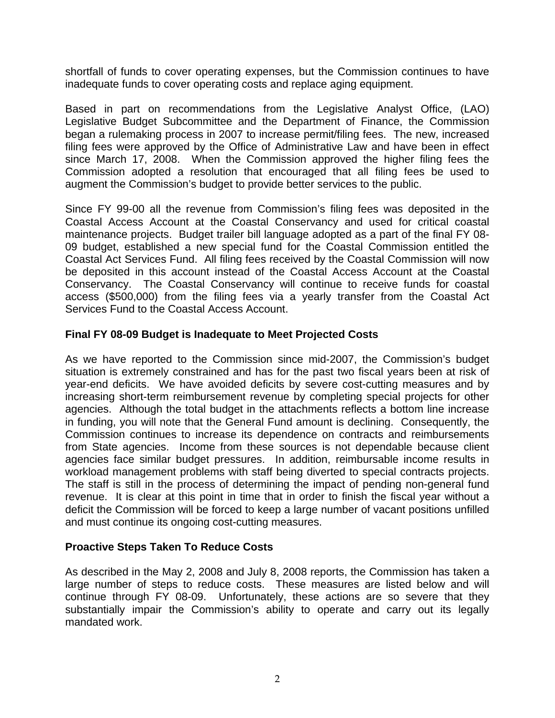shortfall of funds to cover operating expenses, but the Commission continues to have inadequate funds to cover operating costs and replace aging equipment.

Based in part on recommendations from the Legislative Analyst Office, (LAO) Legislative Budget Subcommittee and the Department of Finance, the Commission began a rulemaking process in 2007 to increase permit/filing fees. The new, increased filing fees were approved by the Office of Administrative Law and have been in effect since March 17, 2008. When the Commission approved the higher filing fees the Commission adopted a resolution that encouraged that all filing fees be used to augment the Commission's budget to provide better services to the public.

Since FY 99-00 all the revenue from Commission's filing fees was deposited in the Coastal Access Account at the Coastal Conservancy and used for critical coastal maintenance projects. Budget trailer bill language adopted as a part of the final FY 08- 09 budget, established a new special fund for the Coastal Commission entitled the Coastal Act Services Fund. All filing fees received by the Coastal Commission will now be deposited in this account instead of the Coastal Access Account at the Coastal Conservancy. The Coastal Conservancy will continue to receive funds for coastal access (\$500,000) from the filing fees via a yearly transfer from the Coastal Act Services Fund to the Coastal Access Account.

# **Final FY 08-09 Budget is Inadequate to Meet Projected Costs**

As we have reported to the Commission since mid-2007, the Commission's budget situation is extremely constrained and has for the past two fiscal years been at risk of year-end deficits. We have avoided deficits by severe cost-cutting measures and by increasing short-term reimbursement revenue by completing special projects for other agencies. Although the total budget in the attachments reflects a bottom line increase in funding, you will note that the General Fund amount is declining. Consequently, the Commission continues to increase its dependence on contracts and reimbursements from State agencies. Income from these sources is not dependable because client agencies face similar budget pressures. In addition, reimbursable income results in workload management problems with staff being diverted to special contracts projects. The staff is still in the process of determining the impact of pending non-general fund revenue. It is clear at this point in time that in order to finish the fiscal year without a deficit the Commission will be forced to keep a large number of vacant positions unfilled and must continue its ongoing cost-cutting measures.

### **Proactive Steps Taken To Reduce Costs**

As described in the May 2, 2008 and July 8, 2008 reports, the Commission has taken a large number of steps to reduce costs. These measures are listed below and will continue through FY 08-09. Unfortunately, these actions are so severe that they substantially impair the Commission's ability to operate and carry out its legally mandated work.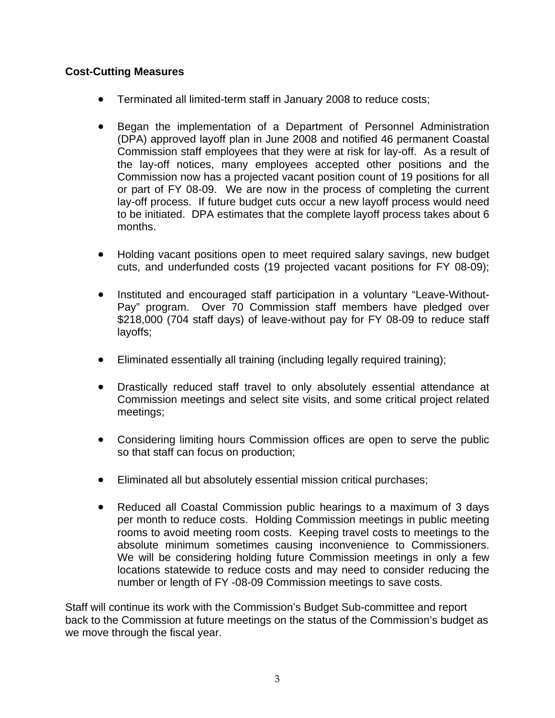# **Cost-Cutting Measures**

- Terminated all limited-term staff in January 2008 to reduce costs;
- Began the implementation of a Department of Personnel Administration (DPA) approved layoff plan in June 2008 and notified 46 permanent Coastal Commission staff employees that they were at risk for lay-off. As a result of the lay-off notices, many employees accepted other positions and the Commission now has a projected vacant position count of 19 positions for all or part of FY 08-09. We are now in the process of completing the current lay-off process. If future budget cuts occur a new layoff process would need to be initiated. DPA estimates that the complete layoff process takes about 6 months.
- Holding vacant positions open to meet required salary savings, new budget cuts, and underfunded costs (19 projected vacant positions for FY 08-09);
- Instituted and encouraged staff participation in a voluntary "Leave-Without-Pay" program. Over 70 Commission staff members have pledged over \$218,000 (704 staff days) of leave-without pay for FY 08-09 to reduce staff layoffs;
- Eliminated essentially all training (including legally required training);
- Drastically reduced staff travel to only absolutely essential attendance at Commission meetings and select site visits, and some critical project related meetings;
- Considering limiting hours Commission offices are open to serve the public so that staff can focus on production;
- Eliminated all but absolutely essential mission critical purchases;
- Reduced all Coastal Commission public hearings to a maximum of 3 days per month to reduce costs. Holding Commission meetings in public meeting rooms to avoid meeting room costs. Keeping travel costs to meetings to the absolute minimum sometimes causing inconvenience to Commissioners. We will be considering holding future Commission meetings in only a few locations statewide to reduce costs and may need to consider reducing the number or length of FY -08-09 Commission meetings to save costs.

Staff will continue its work with the Commission's Budget Sub-committee and report back to the Commission at future meetings on the status of the Commission's budget as we move through the fiscal year.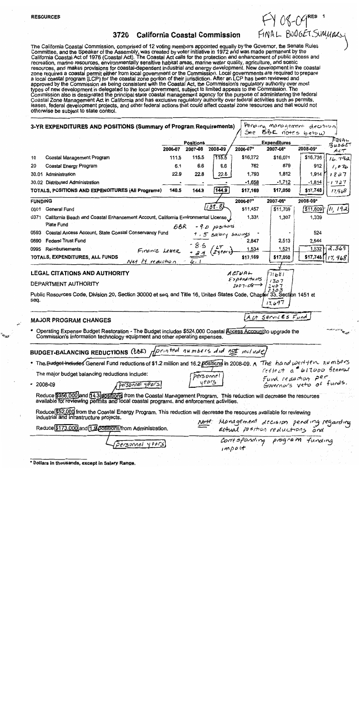#### 3720 **California Coastal Commission**

FY 08-09<sup>RES</sup> 1<br>FINAL BUDGET SUMMAKS

The California Coastal Commission, comprised of 12 voting members appointed equally by the Governor, the Senate Rules<br>Committee, and the Speaker of the Assembly, was created by voter initiative in 1972 and was made permane California Coastal Act of 1976 (Coastal Act). The Coastal Act calls for the protection and enhancement of public access and recreation, marine resources, environmentally sensitive habitat areas, marine water quality, agriculture, and scenic resources, and makes provisions for coastal-dependent industrial and energy development. New development in the coastal zone requires a coastal permit either from local government or the Commission. Local governments are required to prepare<br>a local coastal program (LCP) for the coastal zone portion of their jurisdiction. After an LCP has be approved by the Commission as being consistent with the Coastal Act, the Commission's regulatory authority over most<br>types of new development is delegated to the local government, subject to limited appeals to the Commissi Commission also is designated the principal state coastal management agency for the purpose of administering the federal Coastal Zone Management Act in California and has exclusive regulatory authority over federal activities such as permits, leases, federal development projects, and other federal actions that could affect coastal zone resources and that would not otherwise be subject to state control.

|                | 3-YR EXPENDITURES AND POSITIONS (Summary of Program Requirements)                                                                                                                                              |                |                             |                   |                                   | Perdina management decision                                                   |            |                 |  |
|----------------|----------------------------------------------------------------------------------------------------------------------------------------------------------------------------------------------------------------|----------------|-----------------------------|-------------------|-----------------------------------|-------------------------------------------------------------------------------|------------|-----------------|--|
|                |                                                                                                                                                                                                                |                |                             |                   | See<br>$56E$ notes below          |                                                                               |            |                 |  |
|                |                                                                                                                                                                                                                | 2006-07        | <b>Positions</b><br>2007-08 | 2008-09           | 2006-07*                          | <b>Expenditures</b><br>2007-08*                                               | 2008-09*   | FINAL<br>BudGET |  |
| 10             | Coastal Management Program                                                                                                                                                                                     | 111.5          | 115.5                       | 115.5             | \$16,272                          | \$16,071                                                                      | \$16,736   | ALT<br>16.792   |  |
| 20             | Coastal Energy Program                                                                                                                                                                                         | 6.1            | 6.6                         | 6.6               | 762                               | 879                                                                           | 912        | 1,076           |  |
|                | 30.01 Administration                                                                                                                                                                                           | 22.9           | 22.8                        | 22.8              | 1,793                             | 1,812                                                                         | 1,914      | 1827            |  |
|                | 30.02 Distributed Administration                                                                                                                                                                               |                |                             |                   | $-1,658$                          | -1,712                                                                        | $-1,814$   | 1727            |  |
|                | TOTALS, POSITIONS AND EXPENDITURES (All Programs)                                                                                                                                                              | 140.5          | 144.9                       | 144.9             | \$17,169                          | \$17,050                                                                      | \$17,748   | 17,968          |  |
| <b>FUNDING</b> |                                                                                                                                                                                                                |                |                             |                   | 2006-07*                          | 2007-08*                                                                      | 2008-09*   |                 |  |
| 0001           | General Fund                                                                                                                                                                                                   |                |                             | 138.81            | \$11,457                          | \$11,709                                                                      | /\$11,809† | $\mu$ , 192     |  |
| 0371           | California Beach and Coastal Enhancement Account, California Environmental License                                                                                                                             |                |                             |                   | 1,331                             | 1,307                                                                         | 1,339      |                 |  |
|                | Plate Fund                                                                                                                                                                                                     | BBR            |                             | - 9 D positions   |                                   |                                                                               |            |                 |  |
| 0593           | Coastal Access Account, State Coastal Conservancy Fund                                                                                                                                                         |                |                             | +,5 salary saumgs |                                   |                                                                               | 524        |                 |  |
| 0890           | <b>Federal Trust Fund</b>                                                                                                                                                                                      |                |                             |                   | 2,847                             | 2,513                                                                         | 2,544      |                 |  |
| 0995           | Reimbursements                                                                                                                                                                                                 | Finance Letter |                             | + 24 (2years)     | 1,534                             | 1,521                                                                         | 1.532      | 2.369           |  |
|                | TOTALS, EXPENDITURES, ALL FUNDS<br>Net Py reduction                                                                                                                                                            |                | ، ما                        |                   | \$17,169                          | \$17,050                                                                      | \$17,748   | 17,968          |  |
|                |                                                                                                                                                                                                                |                |                             |                   |                                   |                                                                               |            |                 |  |
|                | <b>LEGAL CITATIONS AND AUTHORITY</b>                                                                                                                                                                           |                |                             |                   | ACTUAL<br>Expenditures            | 71681                                                                         |            |                 |  |
|                | DEPARTMENT AUTHORITY                                                                                                                                                                                           |                |                             |                   | $2007 - 08$                       | 1307<br>407                                                                   |            |                 |  |
| seq.           | Public Resources Code, Division 20, Section 30000 et seq. and Title 16, United States Code, Chapter 33, Section 1451 et                                                                                        |                |                             |                   |                                   | 303<br>17.697                                                                 |            |                 |  |
|                | <b>MAJOR PROGRAM CHANGES</b>                                                                                                                                                                                   |                |                             |                   |                                   | Act Services Fund                                                             |            |                 |  |
|                | • Operating Expense Budget Restoration - The Budget includes \$524,000 Coastal Access Accountito upgrade the<br>Commission's information technology equipment and other operating expenses.                    |                |                             |                   |                                   |                                                                               |            | <b>SHEET</b>    |  |
|                | <b>BUDGET-BALANCING REDUCTIONS (BBR)</b>                                                                                                                                                                       |                |                             |                   | Aprinted numbers and not included |                                                                               |            |                 |  |
|                | <b>• The Budget includes General Fund reductions of \$1.2 million and 16.2 positions in 2008-09. A The hand position numbers</b>                                                                               |                |                             |                   |                                   |                                                                               |            |                 |  |
|                | The major budget balancing reductions include:                                                                                                                                                                 |                |                             | personnel         |                                   | reflect a 617,000 feneral                                                     |            |                 |  |
| $• 2008-09$    | personnel years                                                                                                                                                                                                |                |                             | yeus              |                                   | Fund reduction per                                                            |            |                 |  |
|                | Reduce \$956,000 and 14.3 positions from the Coastal Management Program. This reduction will decrease the resources<br>available for reviewing permits and local coastal programs, and enforcement activities. |                |                             |                   |                                   |                                                                               |            |                 |  |
|                | Reduce \$52,000 from the Coastal Energy Program. This reduction will decrease the resources available for reviewing<br>industrial and infrastructure projects.                                                 |                |                             |                   |                                   |                                                                               |            |                 |  |
|                | Reduce \$173,000 and 1.9 positions/from Administration.                                                                                                                                                        |                |                             |                   |                                   | Note: Management decision pending regarding<br>actual position reductions and |            |                 |  |
|                | 'Personnel years                                                                                                                                                                                               |                |                             |                   | $im\rho$ <i>et</i>                | Corresponding program funding                                                 |            |                 |  |

\* Dollars in thousands, except in Sa